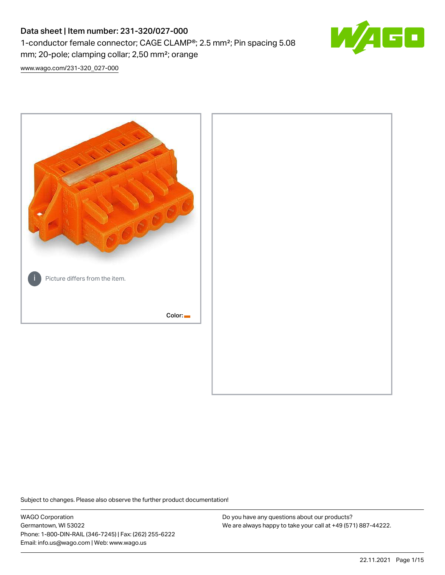# Data sheet | Item number: 231-320/027-000 1-conductor female connector; CAGE CLAMP®; 2.5 mm²; Pin spacing 5.08 mm; 20-pole; clamping collar; 2,50 mm²; orange



[www.wago.com/231-320\\_027-000](http://www.wago.com/231-320_027-000)



Subject to changes. Please also observe the further product documentation!

WAGO Corporation Germantown, WI 53022 Phone: 1-800-DIN-RAIL (346-7245) | Fax: (262) 255-6222 Email: info.us@wago.com | Web: www.wago.us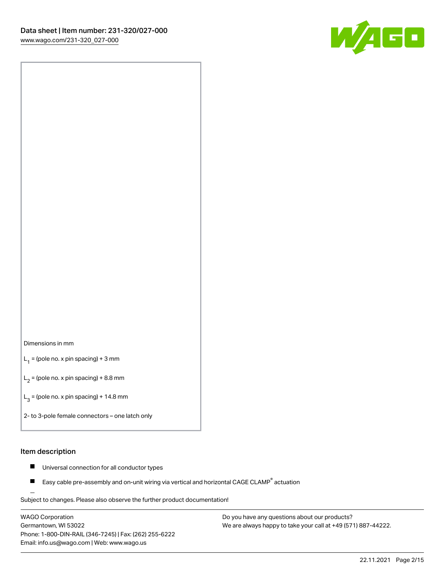

#### Dimensions in mm

 $L_1$  = (pole no. x pin spacing) + 3 mm

 $L_2$  = (pole no. x pin spacing) + 8.8 mm

 $L_3$  = (pole no. x pin spacing) + 14.8 mm

2- to 3-pole female connectors – one latch only

#### Item description

- Universal connection for all conductor types  $\blacksquare$
- Easy cable pre-assembly and on-unit wiring via vertical and horizontal CAGE CLAMP<sup>®</sup> actuation П

.<br>Subject to changes. Please also observe the further product documentation!

WAGO Corporation Germantown, WI 53022 Phone: 1-800-DIN-RAIL (346-7245) | Fax: (262) 255-6222 Email: info.us@wago.com | Web: www.wago.us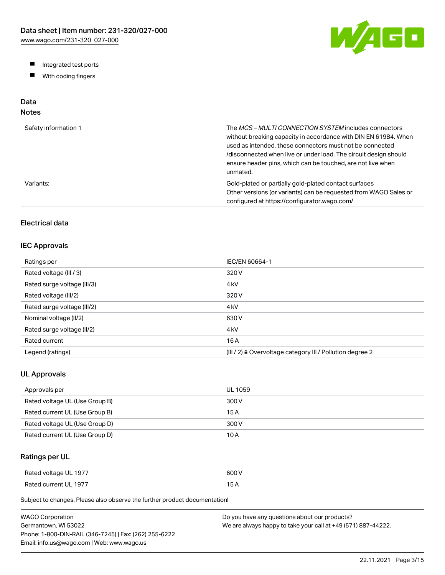W/AGO

- Integrated test ports
- $\blacksquare$ With coding fingers

# Data

## Notes

| Safety information 1 | The MCS-MULTI CONNECTION SYSTEM includes connectors<br>without breaking capacity in accordance with DIN EN 61984. When<br>used as intended, these connectors must not be connected<br>/disconnected when live or under load. The circuit design should<br>ensure header pins, which can be touched, are not live when<br>unmated. |
|----------------------|-----------------------------------------------------------------------------------------------------------------------------------------------------------------------------------------------------------------------------------------------------------------------------------------------------------------------------------|
| Variants:            | Gold-plated or partially gold-plated contact surfaces<br>Other versions (or variants) can be requested from WAGO Sales or<br>configured at https://configurator.wago.com/                                                                                                                                                         |

## Electrical data

## IEC Approvals

| Ratings per                 | IEC/EN 60664-1                                                        |
|-----------------------------|-----------------------------------------------------------------------|
| Rated voltage (III / 3)     | 320 V                                                                 |
| Rated surge voltage (III/3) | 4 <sub>kV</sub>                                                       |
| Rated voltage (III/2)       | 320 V                                                                 |
| Rated surge voltage (III/2) | 4 <sub>k</sub> V                                                      |
| Nominal voltage (II/2)      | 630 V                                                                 |
| Rated surge voltage (II/2)  | 4 <sub>k</sub> V                                                      |
| Rated current               | 16 A                                                                  |
| Legend (ratings)            | $(III / 2)$ $\triangle$ Overvoltage category III / Pollution degree 2 |

## UL Approvals

| Approvals per                  | <b>UL 1059</b> |
|--------------------------------|----------------|
| Rated voltage UL (Use Group B) | 300 V          |
| Rated current UL (Use Group B) | 15 A           |
| Rated voltage UL (Use Group D) | 300 V          |
| Rated current UL (Use Group D) | 10 A           |

## Ratings per UL

| Rated voltage UL 1977 | 600 V  |
|-----------------------|--------|
| Rated current UL 1977 | $\sim$ |

Subject to changes. Please also observe the further product documentation!

| WAGO Corporation                                       | Do you have any questions about our products?                 |
|--------------------------------------------------------|---------------------------------------------------------------|
| Germantown. WI 53022                                   | We are always happy to take your call at +49 (571) 887-44222. |
| Phone: 1-800-DIN-RAIL (346-7245)   Fax: (262) 255-6222 |                                                               |
| Email: info.us@wago.com   Web: www.wago.us             |                                                               |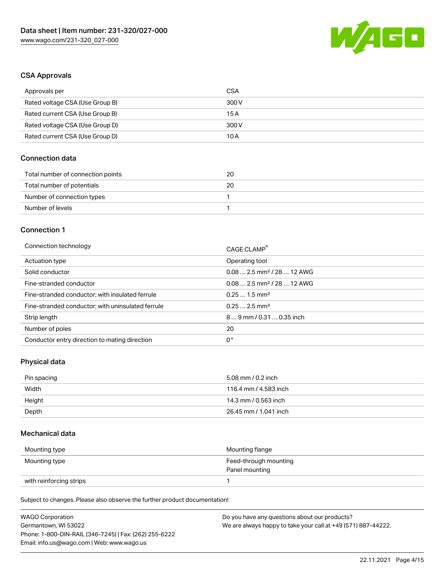

#### CSA Approvals

| Approvals per                   | CSA   |
|---------------------------------|-------|
| Rated voltage CSA (Use Group B) | 300 V |
| Rated current CSA (Use Group B) | 15 A  |
| Rated voltage CSA (Use Group D) | 300 V |
| Rated current CSA (Use Group D) | 10 A  |

## Connection data

| Total number of connection points | 20 |
|-----------------------------------|----|
| Total number of potentials        | 20 |
| Number of connection types        |    |
| Number of levels                  |    |

#### Connection 1

| Connection technology                             | CAGE CLAMP®                            |
|---------------------------------------------------|----------------------------------------|
| Actuation type                                    | Operating tool                         |
| Solid conductor                                   | $0.082.5$ mm <sup>2</sup> / 28  12 AWG |
| Fine-stranded conductor                           | $0.082.5$ mm <sup>2</sup> / 28  12 AWG |
| Fine-stranded conductor; with insulated ferrule   | $0.251.5$ mm <sup>2</sup>              |
| Fine-stranded conductor; with uninsulated ferrule | $0.252.5$ mm <sup>2</sup>              |
| Strip length                                      | $89$ mm / 0.31  0.35 inch              |
| Number of poles                                   | 20                                     |
| Conductor entry direction to mating direction     | 0°                                     |

## Physical data

| Pin spacing | 5.08 mm / 0.2 inch    |
|-------------|-----------------------|
| Width       | 116.4 mm / 4.583 inch |
| Height      | 14.3 mm / 0.563 inch  |
| Depth       | 26.45 mm / 1.041 inch |

#### Mechanical data

| Mounting type           | Mounting flange                         |
|-------------------------|-----------------------------------------|
| Mounting type           | Feed-through mounting<br>Panel mounting |
| with reinforcing strips |                                         |

Subject to changes. Please also observe the further product documentation!

| <b>WAGO Corporation</b>                                | Do you have any questions about our products?                 |
|--------------------------------------------------------|---------------------------------------------------------------|
| Germantown, WI 53022                                   | We are always happy to take your call at +49 (571) 887-44222. |
| Phone: 1-800-DIN-RAIL (346-7245)   Fax: (262) 255-6222 |                                                               |
| Email: info.us@wago.com   Web: www.wago.us             |                                                               |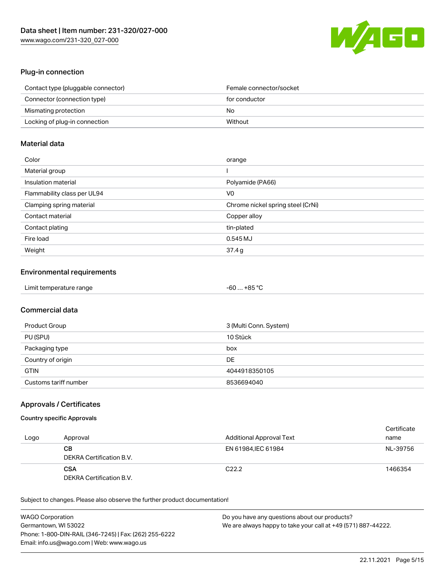

## Plug-in connection

| Contact type (pluggable connector) | Female connector/socket |
|------------------------------------|-------------------------|
| Connector (connection type)        | for conductor           |
| Mismating protection               | No                      |
| Locking of plug-in connection      | Without                 |

## Material data

| Color                       | orange                            |
|-----------------------------|-----------------------------------|
| Material group              |                                   |
| Insulation material         | Polyamide (PA66)                  |
| Flammability class per UL94 | V0                                |
| Clamping spring material    | Chrome nickel spring steel (CrNi) |
| Contact material            | Copper alloy                      |
| Contact plating             | tin-plated                        |
| Fire load                   | 0.545 MJ                          |
| Weight                      | 37.4g                             |

## Environmental requirements

| Limit temperature range | -60  +85 °C |
|-------------------------|-------------|
|-------------------------|-------------|

## Commercial data

| Product Group         | 3 (Multi Conn. System) |
|-----------------------|------------------------|
| PU (SPU)              | 10 Stück               |
| Packaging type        | box                    |
| Country of origin     | DE                     |
| <b>GTIN</b>           | 4044918350105          |
| Customs tariff number | 8536694040             |

## Approvals / Certificates

#### Country specific Approvals

| Logo | Approval                               | <b>Additional Approval Text</b> | Certificate<br>name |
|------|----------------------------------------|---------------------------------|---------------------|
|      | CВ<br>DEKRA Certification B.V.         | EN 61984. IEC 61984             | NL-39756            |
|      | <b>CSA</b><br>DEKRA Certification B.V. | C <sub>22.2</sub>               | 1466354             |

Subject to changes. Please also observe the further product documentation!

| <b>WAGO Corporation</b>                                | Do you have any questions about our products?                 |
|--------------------------------------------------------|---------------------------------------------------------------|
|                                                        |                                                               |
| Germantown, WI 53022                                   | We are always happy to take your call at +49 (571) 887-44222. |
| Phone: 1-800-DIN-RAIL (346-7245)   Fax: (262) 255-6222 |                                                               |
| Email: info.us@wago.com   Web: www.wago.us             |                                                               |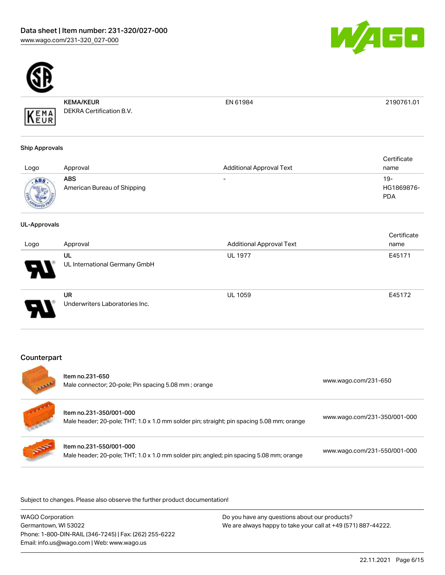



KEMA/KEUR DEKRA Certification B.V. EN 61984 2190761.01

# Ship Approvals

KEMA

| Logo | Approval                                  | <b>Additional Approval Text</b> | Certificate<br>name             |
|------|-------------------------------------------|---------------------------------|---------------------------------|
| ABS  | <b>ABS</b><br>American Bureau of Shipping | $\overline{\phantom{0}}$        | 19-<br>HG1869876-<br><b>PDA</b> |

#### UL-Approvals

| Logo | Approval                                    | <b>Additional Approval Text</b> | Certificate<br>name |
|------|---------------------------------------------|---------------------------------|---------------------|
| 8    | UL<br>UL International Germany GmbH         | <b>UL 1977</b>                  | E45171              |
| J    | <b>UR</b><br>Underwriters Laboratories Inc. | <b>UL 1059</b>                  | E45172              |

## **Counterpart**

| <b>STATISTICS</b> | Item no.231-650<br>Male connector; 20-pole; Pin spacing 5.08 mm; orange                                              | www.wago.com/231-650         |
|-------------------|----------------------------------------------------------------------------------------------------------------------|------------------------------|
|                   | Item no.231-350/001-000<br>Male header; 20-pole; THT; 1.0 x 1.0 mm solder pin; straight; pin spacing 5.08 mm; orange | www.wago.com/231-350/001-000 |
| <b>SERVICE</b>    | Item no.231-550/001-000<br>Male header; 20-pole; THT; 1.0 x 1.0 mm solder pin; angled; pin spacing 5.08 mm; orange   | www.wago.com/231-550/001-000 |

.<br>Subject to changes. Please also observe the further product documentation!

| <b>WAGO Corporation</b>                                |
|--------------------------------------------------------|
| Germantown, WI 53022                                   |
| Phone: 1-800-DIN-RAIL (346-7245)   Fax: (262) 255-6222 |
| Email: info.us@wago.com   Web: www.wago.us             |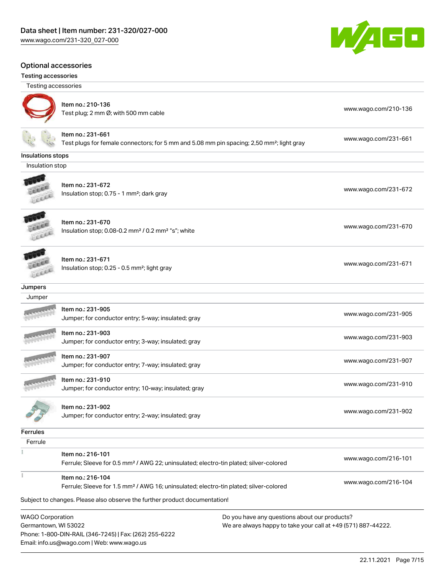#### Optional accessories

#### Testing accessories



Ferrule; Sleeve for 1.5 mm² / AWG 16; uninsulated; electro-tin plated; silver-colored [www.wago.com/216-104](http://www.wago.com/216-104)

Subject to changes. Please also observe the further product documentation!

WAGO Corporation Germantown, WI 53022 Phone: 1-800-DIN-RAIL (346-7245) | Fax: (262) 255-6222 Email: info.us@wago.com | Web: www.wago.us

Item no.: 216-104

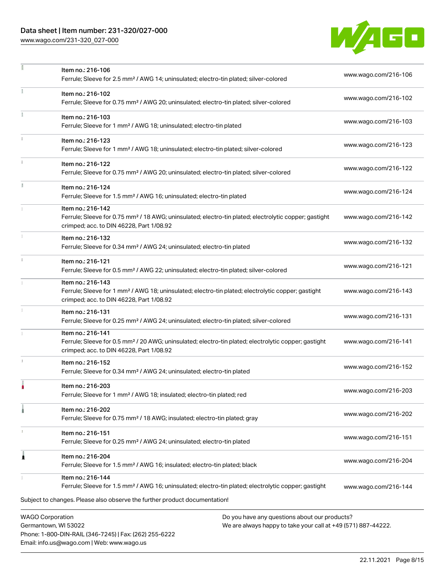## Data sheet | Item number: 231-320/027-000

[www.wago.com/231-320\\_027-000](http://www.wago.com/231-320_027-000)

Email: info.us@wago.com | Web: www.wago.us



|    | Item no.: 216-106<br>Ferrule; Sleeve for 2.5 mm <sup>2</sup> / AWG 14; uninsulated; electro-tin plated; silver-colored                                                                                                      | www.wago.com/216-106 |
|----|-----------------------------------------------------------------------------------------------------------------------------------------------------------------------------------------------------------------------------|----------------------|
| Ŧ. | Item no.: 216-102<br>Ferrule; Sleeve for 0.75 mm <sup>2</sup> / AWG 20; uninsulated; electro-tin plated; silver-colored                                                                                                     | www.wago.com/216-102 |
|    | Item no.: 216-103<br>Ferrule; Sleeve for 1 mm <sup>2</sup> / AWG 18; uninsulated; electro-tin plated                                                                                                                        | www.wago.com/216-103 |
|    | Item no.: 216-123<br>Ferrule; Sleeve for 1 mm <sup>2</sup> / AWG 18; uninsulated; electro-tin plated; silver-colored                                                                                                        | www.wago.com/216-123 |
|    | Item no.: 216-122<br>Ferrule; Sleeve for 0.75 mm <sup>2</sup> / AWG 20; uninsulated; electro-tin plated; silver-colored                                                                                                     | www.wago.com/216-122 |
| I. | Item no.: 216-124<br>Ferrule; Sleeve for 1.5 mm <sup>2</sup> / AWG 16; uninsulated; electro-tin plated                                                                                                                      | www.wago.com/216-124 |
|    | Item no.: 216-142<br>Ferrule; Sleeve for 0.75 mm <sup>2</sup> / 18 AWG; uninsulated; electro-tin plated; electrolytic copper; gastight<br>crimped; acc. to DIN 46228, Part 1/08.92                                          | www.wago.com/216-142 |
|    | Item no.: 216-132<br>Ferrule; Sleeve for 0.34 mm <sup>2</sup> / AWG 24; uninsulated; electro-tin plated                                                                                                                     | www.wago.com/216-132 |
| i. | Item no.: 216-121<br>Ferrule; Sleeve for 0.5 mm <sup>2</sup> / AWG 22; uninsulated; electro-tin plated; silver-colored                                                                                                      | www.wago.com/216-121 |
|    | Item no.: 216-143<br>Ferrule; Sleeve for 1 mm <sup>2</sup> / AWG 18; uninsulated; electro-tin plated; electrolytic copper; gastight<br>crimped; acc. to DIN 46228, Part 1/08.92                                             | www.wago.com/216-143 |
|    | Item no.: 216-131<br>Ferrule; Sleeve for 0.25 mm <sup>2</sup> / AWG 24; uninsulated; electro-tin plated; silver-colored                                                                                                     | www.wago.com/216-131 |
|    | Item no.: 216-141<br>Ferrule; Sleeve for 0.5 mm <sup>2</sup> / 20 AWG; uninsulated; electro-tin plated; electrolytic copper; gastight<br>crimped; acc. to DIN 46228, Part 1/08.92                                           | www.wago.com/216-141 |
| s. | Item no.: 216-152<br>Ferrule; Sleeve for 0.34 mm <sup>2</sup> / AWG 24; uninsulated; electro-tin plated                                                                                                                     | www.wago.com/216-152 |
|    | Item no.: 216-203<br>Ferrule; Sleeve for 1 mm <sup>2</sup> / AWG 18; insulated; electro-tin plated; red                                                                                                                     | www.wago.com/216-203 |
|    | Item no.: 216-202<br>Ferrule; Sleeve for 0.75 mm <sup>2</sup> / 18 AWG; insulated; electro-tin plated; gray                                                                                                                 | www.wago.com/216-202 |
|    | Item no.: 216-151<br>Ferrule; Sleeve for 0.25 mm <sup>2</sup> / AWG 24; uninsulated; electro-tin plated                                                                                                                     | www.wago.com/216-151 |
| ۸  | Item no.: 216-204<br>Ferrule; Sleeve for 1.5 mm <sup>2</sup> / AWG 16; insulated; electro-tin plated; black                                                                                                                 | www.wago.com/216-204 |
|    | Item no.: 216-144<br>Ferrule; Sleeve for 1.5 mm <sup>2</sup> / AWG 16; uninsulated; electro-tin plated; electrolytic copper; gastight                                                                                       | www.wago.com/216-144 |
|    | Subject to changes. Please also observe the further product documentation!                                                                                                                                                  |                      |
|    | <b>WAGO Corporation</b><br>Do you have any questions about our products?<br>Germantown, WI 53022<br>We are always happy to take your call at +49 (571) 887-44222.<br>Phone: 1-800-DIN-RAIL (346-7245)   Fax: (262) 255-6222 |                      |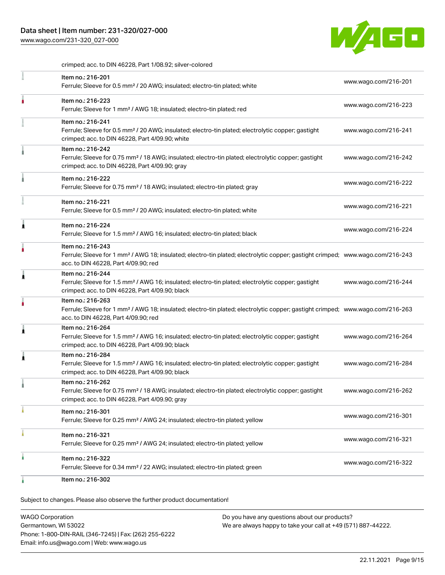[www.wago.com/231-320\\_027-000](http://www.wago.com/231-320_027-000)



crimped; acc. to DIN 46228, Part 1/08.92; silver-colored

| Item no.: 216-201<br>Ferrule; Sleeve for 0.5 mm <sup>2</sup> / 20 AWG; insulated; electro-tin plated; white                                                                                             | www.wago.com/216-201 |
|---------------------------------------------------------------------------------------------------------------------------------------------------------------------------------------------------------|----------------------|
| Item no.: 216-223<br>Ferrule; Sleeve for 1 mm <sup>2</sup> / AWG 18; insulated; electro-tin plated; red                                                                                                 | www.wago.com/216-223 |
| Item no.: 216-241<br>Ferrule; Sleeve for 0.5 mm <sup>2</sup> / 20 AWG; insulated; electro-tin plated; electrolytic copper; gastight<br>crimped; acc. to DIN 46228, Part 4/09.90; white                  | www.wago.com/216-241 |
| Item no.: 216-242<br>Ferrule; Sleeve for 0.75 mm <sup>2</sup> / 18 AWG; insulated; electro-tin plated; electrolytic copper; gastight<br>crimped; acc. to DIN 46228, Part 4/09.90; gray                  | www.wago.com/216-242 |
| Item no.: 216-222<br>Ferrule; Sleeve for 0.75 mm <sup>2</sup> / 18 AWG; insulated; electro-tin plated; gray                                                                                             | www.wago.com/216-222 |
| Item no.: 216-221<br>Ferrule; Sleeve for 0.5 mm <sup>2</sup> / 20 AWG; insulated; electro-tin plated; white                                                                                             | www.wago.com/216-221 |
| Item no.: 216-224<br>Ferrule; Sleeve for 1.5 mm <sup>2</sup> / AWG 16; insulated; electro-tin plated; black                                                                                             | www.wago.com/216-224 |
| Item no.: 216-243<br>Ferrule; Sleeve for 1 mm <sup>2</sup> / AWG 18; insulated; electro-tin plated; electrolytic copper; gastight crimped; www.wago.com/216-243<br>acc. to DIN 46228, Part 4/09.90; red |                      |
| Item no.: 216-244<br>Ferrule; Sleeve for 1.5 mm <sup>2</sup> / AWG 16; insulated; electro-tin plated; electrolytic copper; gastight<br>crimped; acc. to DIN 46228, Part 4/09.90; black                  | www.wago.com/216-244 |
| Item no.: 216-263<br>Ferrule; Sleeve for 1 mm <sup>2</sup> / AWG 18; insulated; electro-tin plated; electrolytic copper; gastight crimped; www.wago.com/216-263<br>acc. to DIN 46228, Part 4/09.90; red |                      |
| Item no.: 216-264<br>Ferrule; Sleeve for 1.5 mm <sup>2</sup> / AWG 16; insulated; electro-tin plated; electrolytic copper; gastight<br>crimped; acc. to DIN 46228, Part 4/09.90; black                  | www.wago.com/216-264 |
| Item no.: 216-284<br>Ferrule; Sleeve for 1.5 mm <sup>2</sup> / AWG 16; insulated; electro-tin plated; electrolytic copper; gastight<br>crimped; acc. to DIN 46228, Part 4/09.90; black                  | www.wago.com/216-284 |
| Item no.: 216-262<br>Ferrule; Sleeve for 0.75 mm <sup>2</sup> / 18 AWG; insulated; electro-tin plated; electrolytic copper; gastight<br>crimped; acc. to DIN 46228, Part 4/09.90; gray                  | www.wago.com/216-262 |
| Item no.: 216-301<br>Ferrule; Sleeve for 0.25 mm <sup>2</sup> / AWG 24; insulated; electro-tin plated; yellow                                                                                           | www.wago.com/216-301 |
| Item no.: 216-321<br>Ferrule; Sleeve for 0.25 mm <sup>2</sup> / AWG 24; insulated; electro-tin plated; yellow                                                                                           | www.wago.com/216-321 |
| Item no.: 216-322<br>Ferrule; Sleeve for 0.34 mm <sup>2</sup> / 22 AWG; insulated; electro-tin plated; green                                                                                            | www.wago.com/216-322 |
| Item no.: 216-302                                                                                                                                                                                       |                      |

Subject to changes. Please also observe the further product documentation!

WAGO Corporation Germantown, WI 53022 Phone: 1-800-DIN-RAIL (346-7245) | Fax: (262) 255-6222 Email: info.us@wago.com | Web: www.wago.us Do you have any questions about our products? We are always happy to take your call at +49 (571) 887-44222.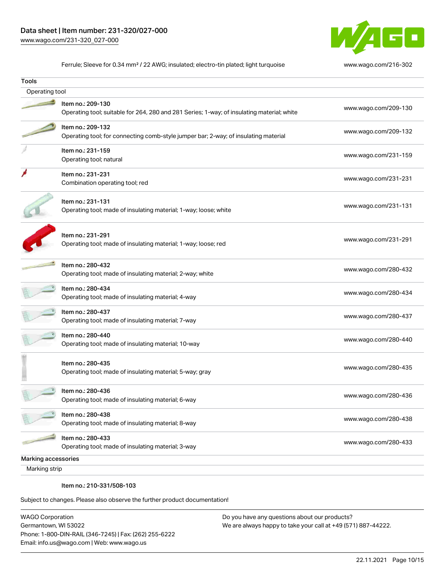

Ferrule; Sleeve for 0.34 mm<sup>2</sup> / 22 AWG; insulated; electro-tin plated; light turquoise

| www.wago.com/216-302 |  |  |
|----------------------|--|--|
|                      |  |  |

| <b>Tools</b>        |                                                                                                                 |                      |  |  |  |
|---------------------|-----------------------------------------------------------------------------------------------------------------|----------------------|--|--|--|
| Operating tool      |                                                                                                                 |                      |  |  |  |
|                     | Item no.: 209-130<br>Operating tool; suitable for 264, 280 and 281 Series; 1-way; of insulating material; white | www.wago.com/209-130 |  |  |  |
|                     | Item no.: 209-132<br>Operating tool; for connecting comb-style jumper bar; 2-way; of insulating material        | www.wago.com/209-132 |  |  |  |
|                     | Item no.: 231-159<br>Operating tool; natural                                                                    | www.wago.com/231-159 |  |  |  |
|                     | Item no.: 231-231<br>Combination operating tool; red                                                            | www.wago.com/231-231 |  |  |  |
|                     | Item no.: 231-131<br>Operating tool; made of insulating material; 1-way; loose; white                           | www.wago.com/231-131 |  |  |  |
|                     | Item no.: 231-291<br>Operating tool; made of insulating material; 1-way; loose; red                             | www.wago.com/231-291 |  |  |  |
|                     | Item no.: 280-432<br>Operating tool; made of insulating material; 2-way; white                                  | www.wago.com/280-432 |  |  |  |
|                     | Item no.: 280-434<br>Operating tool; made of insulating material; 4-way                                         | www.wago.com/280-434 |  |  |  |
|                     | Item no.: 280-437<br>Operating tool; made of insulating material; 7-way                                         | www.wago.com/280-437 |  |  |  |
|                     | Item no.: 280-440<br>Operating tool; made of insulating material; 10-way                                        | www.wago.com/280-440 |  |  |  |
|                     | Item no.: 280-435<br>Operating tool; made of insulating material; 5-way; gray                                   | www.wago.com/280-435 |  |  |  |
|                     | Item no.: 280-436<br>Operating tool; made of insulating material; 6-way                                         | www.wago.com/280-436 |  |  |  |
|                     | Item no.: 280-438<br>Operating tool; made of insulating material; 8-way                                         | www.wago.com/280-438 |  |  |  |
|                     | Item no.: 280-433<br>Operating tool; made of insulating material; 3-way                                         | www.wago.com/280-433 |  |  |  |
| Marking accessories |                                                                                                                 |                      |  |  |  |
| Marking strip       |                                                                                                                 |                      |  |  |  |

#### Item no.: 210-331/508-103

Subject to changes. Please also observe the further product documentation!

WAGO Corporation Germantown, WI 53022 Phone: 1-800-DIN-RAIL (346-7245) | Fax: (262) 255-6222 Email: info.us@wago.com | Web: www.wago.us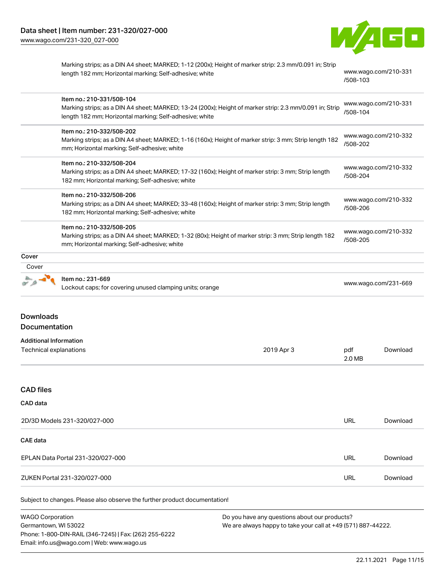

| Marking strips; as a DIN A4 sheet; MARKED; 1-12 (200x); Height of marker strip: 2.3 mm/0.091 in; Strip |  |
|--------------------------------------------------------------------------------------------------------|--|
| length 182 mm; Horizontal marking; Self-adhesive; white                                                |  |

[www.wago.com/210-331](http://www.wago.com/210-331/508-103) [/508-103](http://www.wago.com/210-331/508-103)

|                                                         | Item no.: 210-331/508-104<br>Marking strips; as a DIN A4 sheet; MARKED; 13-24 (200x); Height of marker strip: 2.3 mm/0.091 in; Strip                                                 |                                                                                                                | /508-104                                                             | www.wago.com/210-331             |  |  |
|---------------------------------------------------------|--------------------------------------------------------------------------------------------------------------------------------------------------------------------------------------|----------------------------------------------------------------------------------------------------------------|----------------------------------------------------------------------|----------------------------------|--|--|
|                                                         | length 182 mm; Horizontal marking; Self-adhesive; white                                                                                                                              |                                                                                                                |                                                                      |                                  |  |  |
|                                                         | Item no.: 210-332/508-202<br>Marking strips; as a DIN A4 sheet; MARKED; 1-16 (160x); Height of marker strip: 3 mm; Strip length 182<br>mm; Horizontal marking; Self-adhesive; white  |                                                                                                                | /508-202                                                             | www.wago.com/210-332             |  |  |
|                                                         | Item no.: 210-332/508-204<br>182 mm; Horizontal marking; Self-adhesive; white                                                                                                        | Marking strips; as a DIN A4 sheet; MARKED; 17-32 (160x); Height of marker strip: 3 mm; Strip length            |                                                                      | www.wago.com/210-332<br>/508-204 |  |  |
|                                                         | Item no.: 210-332/508-206<br>Marking strips; as a DIN A4 sheet; MARKED; 33-48 (160x); Height of marker strip: 3 mm; Strip length<br>182 mm; Horizontal marking; Self-adhesive; white |                                                                                                                | www.wago.com/210-332<br>/508-206<br>www.wago.com/210-332<br>/508-205 |                                  |  |  |
|                                                         | Item no.: 210-332/508-205<br>Marking strips; as a DIN A4 sheet; MARKED; 1-32 (80x); Height of marker strip: 3 mm; Strip length 182<br>mm; Horizontal marking; Self-adhesive; white   |                                                                                                                |                                                                      |                                  |  |  |
| Cover                                                   |                                                                                                                                                                                      |                                                                                                                |                                                                      |                                  |  |  |
| Cover                                                   |                                                                                                                                                                                      |                                                                                                                |                                                                      |                                  |  |  |
|                                                         | Item no.: 231-669<br>Lockout caps; for covering unused clamping units; orange                                                                                                        |                                                                                                                | www.wago.com/231-669                                                 |                                  |  |  |
| <b>Downloads</b><br>Documentation                       |                                                                                                                                                                                      |                                                                                                                |                                                                      |                                  |  |  |
| <b>Additional Information</b><br>Technical explanations |                                                                                                                                                                                      | 2019 Apr 3                                                                                                     | pdf<br>2.0 MB                                                        | Download                         |  |  |
| <b>CAD files</b>                                        |                                                                                                                                                                                      |                                                                                                                |                                                                      |                                  |  |  |
| CAD data                                                |                                                                                                                                                                                      |                                                                                                                |                                                                      |                                  |  |  |
|                                                         | 2D/3D Models 231-320/027-000                                                                                                                                                         |                                                                                                                | <b>URL</b>                                                           | Download                         |  |  |
| <b>CAE</b> data                                         |                                                                                                                                                                                      |                                                                                                                |                                                                      |                                  |  |  |
|                                                         | EPLAN Data Portal 231-320/027-000                                                                                                                                                    |                                                                                                                | <b>URL</b>                                                           | Download                         |  |  |
|                                                         | ZUKEN Portal 231-320/027-000                                                                                                                                                         |                                                                                                                | <b>URL</b>                                                           | Download                         |  |  |
|                                                         | Subject to changes. Please also observe the further product documentation!                                                                                                           |                                                                                                                |                                                                      |                                  |  |  |
| <b>WAGO Corporation</b><br>Germantown, WI 53022         | Phone: 1-800-DIN-RAIL (346-7245)   Fax: (262) 255-6222<br>Email: info.us@wago.com   Web: www.wago.us                                                                                 | Do you have any questions about our products?<br>We are always happy to take your call at +49 (571) 887-44222. |                                                                      |                                  |  |  |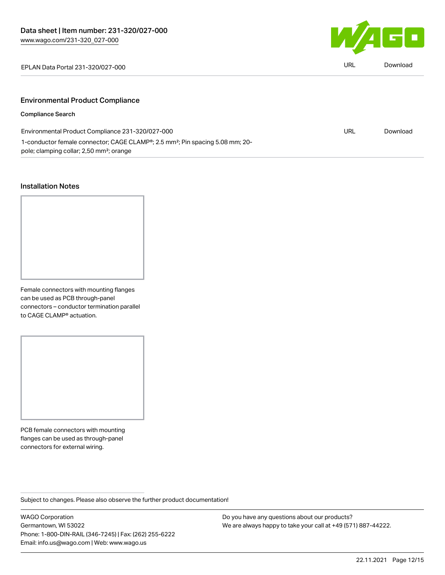

| 231-320/027-000 |  | Download |
|-----------------|--|----------|
|                 |  |          |

## Environmental Product Compliance

## Compliance Search

| Environmental Product Compliance 231-320/027-000                                                       |  | Download |
|--------------------------------------------------------------------------------------------------------|--|----------|
| 1-conductor female connector; CAGE CLAMP <sup>®</sup> ; 2.5 mm <sup>2</sup> ; Pin spacing 5.08 mm; 20- |  |          |
| pole; clamping collar; 2,50 mm <sup>2</sup> ; orange                                                   |  |          |

#### Installation Notes



Female connectors with mounting flanges can be used as PCB through-panel connectors – conductor termination parallel to CAGE CLAMP® actuation.

PCB female connectors with mounting flanges can be used as through-panel connectors for external wiring.

Subject to changes. Please also observe the further product documentation!

WAGO Corporation Germantown, WI 53022 Phone: 1-800-DIN-RAIL (346-7245) | Fax: (262) 255-6222 Email: info.us@wago.com | Web: www.wago.us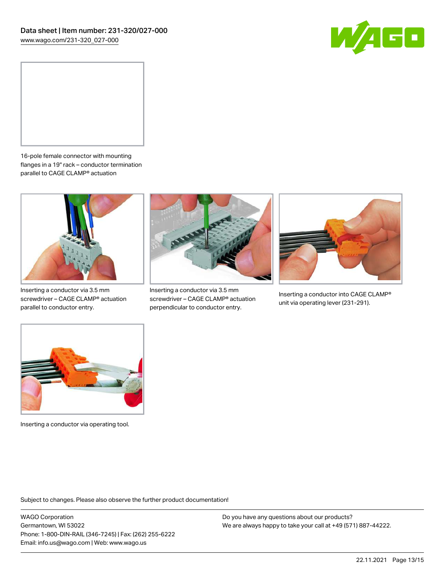



16-pole female connector with mounting flanges in a 19" rack – conductor termination parallel to CAGE CLAMP® actuation



Inserting a conductor via 3.5 mm screwdriver – CAGE CLAMP® actuation parallel to conductor entry.



Inserting a conductor via 3.5 mm screwdriver – CAGE CLAMP® actuation perpendicular to conductor entry.



Inserting a conductor into CAGE CLAMP® unit via operating lever (231-291).



Inserting a conductor via operating tool.

Subject to changes. Please also observe the further product documentation!

WAGO Corporation Germantown, WI 53022 Phone: 1-800-DIN-RAIL (346-7245) | Fax: (262) 255-6222 Email: info.us@wago.com | Web: www.wago.us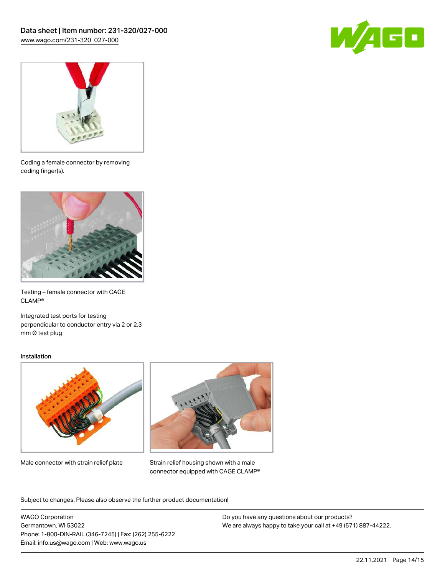



Coding a female connector by removing coding finger(s).



Testing – female connector with CAGE CLAMP®

Integrated test ports for testing perpendicular to conductor entry via 2 or 2.3 mm Ø test plug

#### Installation



Male connector with strain relief plate



Strain relief housing shown with a male connector equipped with CAGE CLAMP®

Subject to changes. Please also observe the further product documentation!

WAGO Corporation Germantown, WI 53022 Phone: 1-800-DIN-RAIL (346-7245) | Fax: (262) 255-6222 Email: info.us@wago.com | Web: www.wago.us